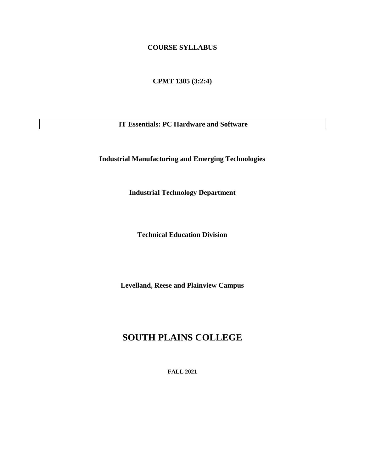# **COURSE SYLLABUS**

**CPMT 1305 (3:2:4)**

**IT Essentials: PC Hardware and Software**

**Industrial Manufacturing and Emerging Technologies**

**Industrial Technology Department**

**Technical Education Division**

**Levelland, Reese and Plainview Campus**

# **SOUTH PLAINS COLLEGE**

**FALL 2021**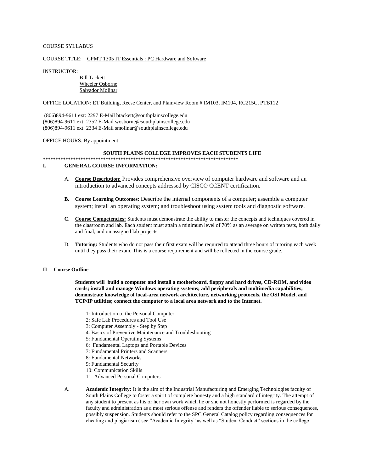#### COURSE SYLLABUS

#### COURSE TITLE: CPMT 1305 IT Essentials : PC Hardware and Software

INSTRUCTOR:

### Bill Tackett Wheeler Osborne Salvador Molinar

OFFICE LOCATION: ET Building, Reese Center, and Plainview Room # IM103, IM104, RC215C, PTB112

(806)894-9611 ext: 2297 E-Mail btackett@southplainscollege.edu (806)894-9611 ext: 2352 E-Mail wosborne@southplainscollege.edu (806)894-9611 ext: 2334 E-Mail smolinar@southplainscollege.edu

OFFICE HOURS: By appointment

### **SOUTH PLAINS COLLEGE IMPROVES EACH STUDENTS LIFE**

\*\*\*\*\*\*\*\*\*\*\*\*\*\*\*\*\*\*\*\*\*\*\*\*\*\*\*\*\*\*\*\*\*\*\*\*\*\*\*\*\*\*\*\*\*\*\*\*\*\*\*\*\*\*\*\*\*\*\*\*\*\*\*\*\*\*\*\*\*\*\*\*\*\*\*\*\*\*

#### **I. GENERAL COURSE INFORMATION:**

- A. **Course Description:** Provides comprehensive overview of computer hardware and software and an introduction to advanced concepts addressed by CISCO CCENT certification.
- **B. Course Learning Outcomes:** Describe the internal components of a computer; assemble a computer system; install an operating system; and troubleshoot using system tools and diagnostic software.
- **C. Course Competencies:** Students must demonstrate the ability to master the concepts and techniques covered in the classroom and lab. Each student must attain a minimum level of 70% as an average on written tests, both daily and final, and on assigned lab projects.
- D. **Tutoring:** Students who do not pass their first exam will be required to attend three hours of tutoring each week until they pass their exam. This is a course requirement and will be reflected in the course grade.

### **II Course Outline**

**Students will build a computer and install a motherboard, floppy and hard drives, CD-ROM, and video cards; install and manage Windows operating systems; add peripherals and multimedia capabilities; demonstrate knowledge of local-area network architecture, networking protocols, the OSI Model, and TCP/IP utilities; connect the computer to a local area network and to the Internet.** 

- 1: Introduction to the Personal Computer
- 2: Safe Lab Procedures and Tool Use
- 3: Computer Assembly Step by Step
- 4: Basics of Preventive Maintenance and Troubleshooting
- 5: Fundamental Operating Systems
- 6: Fundamental Laptops and Portable Devices
- 7: Fundamental Printers and Scanners
- 8: Fundamental Networks
- 9: Fundamental Security
- 10: Communication Skills
- 11: Advanced Personal Computers
- A. **Academic Integrity:** It is the aim of the Industrial Manufacturing and Emerging Technologies faculty of South Plains College to foster a spirit of complete honesty and a high standard of integrity. The attempt of any student to present as his or her own work which he or she not honestly performed is regarded by the faculty and administration as a most serious offense and renders the offender liable to serious consequences, possibly suspension. Students should refer to the SPC General Catalog policy regarding consequences for cheating and plagiarism ( see "Academic Integrity" as well as "Student Conduct" sections in the college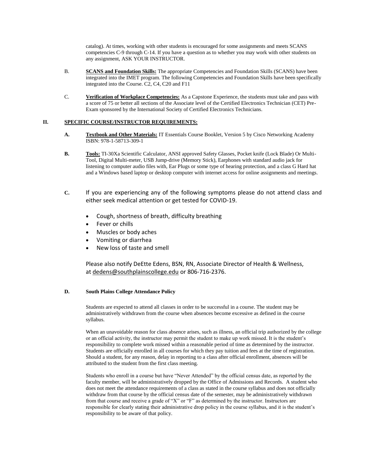catalog). At times, working with other students is encouraged for some assignments and meets SCANS competencies C-9 through C-14. If you have a question as to whether you may work with other students on any assignment, ASK YOUR INSTRUCTOR.

- B. **SCANS and Foundation Skills:** The appropriate Competencies and Foundation Skills (SCANS) have been integrated into the IMET program. The following Competencies and Foundation Skills have been specifically integrated into the Course. C2, C4, C20 and F11
- C. **Verification of Workplace Competencies:** As a Capstone Experience, the students must take and pass with a score of 75 or better all sections of the Associate level of the Certified Electronics Technician (CET) Pre-Exam sponsored by the International Society of Certified Electronics Technicians.

# **II. SPECIFIC COURSE/INSTRUCTOR REQUIREMENTS:**

- **A. Textbook and Other Materials:** IT Essentials Course Booklet, Version 5 by Cisco Networking Academy ISBN: 978-1-58713-309-1
- **B. Tools:** TI-30Xa Scientific Calculator, ANSI approved Safety Glasses, Pocket knife (Lock Blade) Or Multi-Tool, Digital Multi-meter, USB Jump-drive (Memory Stick), Earphones with standard audio jack for listening to computer audio files with, Ear Plugs or some type of hearing protection, and a class G Hard hat and a Windows based laptop or desktop computer with internet access for online assignments and meetings.
- **C.** If you are experiencing any of the following symptoms please do not attend class and either seek medical attention or get tested for COVID-19.
	- Cough, shortness of breath, difficulty breathing
	- Fever or chills
	- Muscles or body aches
	- Vomiting or diarrhea
	- New loss of taste and smell

Please also notify DeEtte Edens, BSN, RN, Associate Director of Health & Wellness, at [dedens@southplainscollege.edu](mailto:dedens@southplainscollege.edu) or 806-716-2376.

#### **D. South Plains College Attendance Policy**

Students are expected to attend all classes in order to be successful in a course. The student may be administratively withdrawn from the course when absences become excessive as defined in the course syllabus.

When an unavoidable reason for class absence arises, such as illness, an official trip authorized by the college or an official activity, the instructor may permit the student to make up work missed. It is the student's responsibility to complete work missed within a reasonable period of time as determined by the instructor. Students are officially enrolled in all courses for which they pay tuition and fees at the time of registration. Should a student, for any reason, delay in reporting to a class after official enrollment, absences will be attributed to the student from the first class meeting.

Students who enroll in a course but have "Never Attended" by the official census date, as reported by the faculty member, will be administratively dropped by the Office of Admissions and Records. A student who does not meet the attendance requirements of a class as stated in the course syllabus and does not officially withdraw from that course by the official census date of the semester, may be administratively withdrawn from that course and receive a grade of "X" or "F" as determined by the instructor. Instructors are responsible for clearly stating their administrative drop policy in the course syllabus, and it is the student's responsibility to be aware of that policy.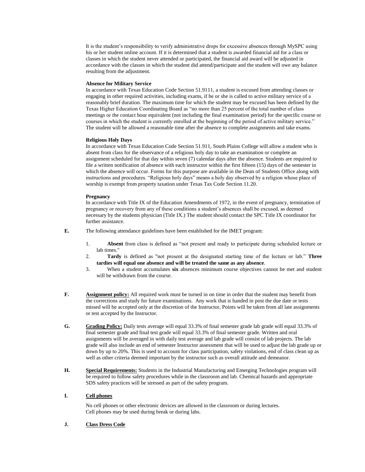It is the student's responsibility to verify administrative drops for excessive absences through MySPC using his or her student online account. If it is determined that a student is awarded financial aid for a class or classes in which the student never attended or participated, the financial aid award will be adjusted in accordance with the classes in which the student did attend/participate and the student will owe any balance resulting from the adjustment.

#### **Absence for Military Service**

In accordance with Texas Education Code Section 51.9111, a student is excused from attending classes or engaging in other required activities, including exams, if he or she is called to active military service of a reasonably brief duration. The maximum time for which the student may be excused has been defined by the Texas Higher Education Coordinating Board as "no more than 25 percent of the total number of class meetings or the contact hour equivalent (not including the final examination period) for the specific course or courses in which the student is currently enrolled at the beginning of the period of active military service." The student will be allowed a reasonable time after the absence to complete assignments and take exams.

#### **Religious Holy Days**

In accordance with Texas Education Code Section 51.911, South Plains College will allow a student who is absent from class for the observance of a religious holy day to take an examination or complete an assignment scheduled for that day within seven (7) calendar days after the absence. Students are required to file a written notification of absence with each instructor within the first fifteen (15) days of the semester in which the absence will occur. Forms for this purpose are available in the Dean of Students Office along with instructions and procedures. "Religious holy days" means a holy day observed by a religion whose place of worship is exempt from property taxation under Texas Tax Code Section 11.20.

#### **Pregnancy**

In accordance with Title IX of the Education Amendments of 1972, in the event of pregnancy, termination of pregnancy or recovery from any of these conditions a student's absences shall be excused, as deemed necessary by the students physician (Title IX.) The student should contact the SPC Title IX coordinator for further assistance.

**E.** The following attendance guidelines have been established for the IMET program:

- 1. **Absent** from class is defined as "not present and ready to participate during scheduled lecture or lab times."
- 2. **Tardy** is defined as "not present at the designated starting time of the lecture or lab." **Three tardies will equal one absence and will be treated the same as any absence**.
- 3. When a student accumulates **six** absences minimum course objectives cannot be met and student will be withdrawn from the course.
- **F. Assignment policy:** All required work must be turned in on time in order that the student may benefit from the corrections and study for future examinations. Any work that is handed in post the due date or tests missed will be accepted only at the discretion of the Instructor, Points will be taken from all late assignments or test accepted by the Instructor.
- **G. Grading Policy:** Daily tests average will equal 33.3% of final semester grade lab grade will equal 33.3% of final semester grade and final test grade will equal 33.3% of final semester grade. Written and oral assignments will be averaged in with daily test average and lab grade will consist of lab projects. The lab grade will also include an end of semester Instructor assessment that will be used to adjust the lab grade up or down by up to 20%. This is used to account for class participation, safety violations, end of class clean up as well as other criteria deemed important by the instructor such as overall attitude and demeanor.
- **H. Special Requirements:** Students in the Industrial Manufacturing and Emerging Technologies program will be required to follow safety procedures while in the classroom and lab. Chemical hazards and appropriate SDS safety practices will be stressed as part of the safety program.

### **I. Cell phones**

No cell phones or other electronic devices are allowed in the classroom or during lectures. Cell phones may be used during break or during labs.

### **J. Class Dress Code**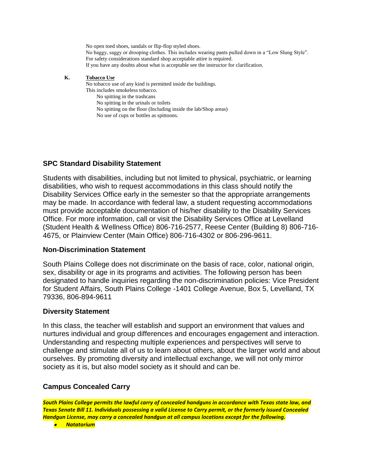No open toed shoes, sandals or flip-flop styled shoes. No baggy, saggy or drooping clothes. This includes wearing pants pulled down in a "Low Slung Style". For safety considerations standard shop acceptable attire is required. If you have any doubts about what is acceptable see the instructor for clarification.

# **K. Tobacco Use**

No tobacco use of any kind is permitted inside the buildings.

- This includes smokeless tobacco.
	- No spitting in the trashcans
	- No spitting in the urinals or toilets
	- No spitting on the floor (Including inside the lab/Shop areas)
	- No use of cups or bottles as spittoons.

# **SPC Standard Disability Statement**

Students with disabilities, including but not limited to physical, psychiatric, or learning disabilities, who wish to request accommodations in this class should notify the Disability Services Office early in the semester so that the appropriate arrangements may be made. In accordance with federal law, a student requesting accommodations must provide acceptable documentation of his/her disability to the Disability Services Office. For more information, call or visit the Disability Services Office at Levelland (Student Health & Wellness Office) 806-716-2577, Reese Center (Building 8) 806-716- 4675, or Plainview Center (Main Office) 806-716-4302 or 806-296-9611.

# **Non-Discrimination Statement**

South Plains College does not discriminate on the basis of race, color, national origin, sex, disability or age in its programs and activities. The following person has been designated to handle inquiries regarding the non-discrimination policies: Vice President for Student Affairs, South Plains College -1401 College Avenue, Box 5, Levelland, TX 79336, 806-894-9611

# **Diversity Statement**

In this class, the teacher will establish and support an environment that values and nurtures individual and group differences and encourages engagement and interaction. Understanding and respecting multiple experiences and perspectives will serve to challenge and stimulate all of us to learn about others, about the larger world and about ourselves. By promoting diversity and intellectual exchange, we will not only mirror society as it is, but also model society as it should and can be.

# **Campus Concealed Carry**

*South Plains College permits the lawful carry of concealed handguns in accordance with Texas state law, and Texas Senate Bill 11. Individuals possessing a valid License to Carry permit, or the formerly issued Concealed Handgun License, may carry a concealed handgun at all campus locations except for the following.*

• *Natatorium*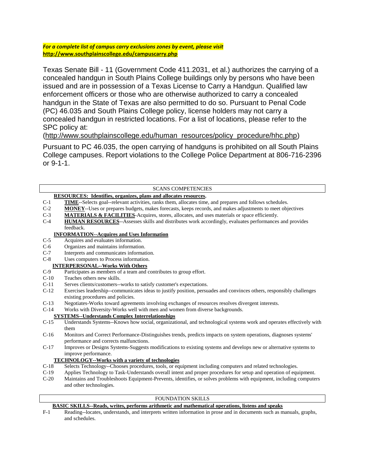*For a complete list of campus carry exclusions zones by event, please visit* **<http://www.southplainscollege.edu/campuscarry.php>**

Texas Senate Bill - 11 (Government Code 411.2031, et al.) authorizes the carrying of a concealed handgun in South Plains College buildings only by persons who have been issued and are in possession of a Texas License to Carry a Handgun. Qualified law enforcement officers or those who are otherwise authorized to carry a concealed handgun in the State of Texas are also permitted to do so. Pursuant to Penal Code (PC) 46.035 and South Plains College policy, license holders may not carry a concealed handgun in restricted locations. For a list of locations, please refer to the SPC policy at:

[\(http://www.southplainscollege.edu/human\\_resources/policy\\_procedure/hhc.php\)](http://www.southplainscollege.edu/human_resources/policy_procedure/hhc.php)

Pursuant to PC 46.035, the open carrying of handguns is prohibited on all South Plains College campuses. Report violations to the College Police Department at 806-716-2396 or 9-1-1.

# SCANS COMPETENCIES

| <b>RESOURCES:</b> Identifies, organizes, plans and allocates resources. |                                                                                                                      |
|-------------------------------------------------------------------------|----------------------------------------------------------------------------------------------------------------------|
| $C-1$                                                                   | <b>TIME</b> -Selects goal--relevant activities, ranks them, allocates time, and prepares and follows schedules.      |
| $C-2$                                                                   | <b>MONEY</b> --Uses or prepares budgets, makes forecasts, keeps records, and makes adjustments to meet objectives    |
| $C-3$                                                                   | <b>MATERIALS &amp; FACILITIES</b> -Acquires, stores, allocates, and uses materials or space efficiently.             |
| $C-4$                                                                   | <b>HUMAN RESOURCES--Assesses skills and distributes work accordingly, evaluates performances and provides</b>        |
|                                                                         | feedback.                                                                                                            |
| <b>INFORMATION--Acquires and Uses Information</b>                       |                                                                                                                      |
| $C-5$                                                                   | Acquires and evaluates information.                                                                                  |
| $C-6$                                                                   | Organizes and maintains information.                                                                                 |
| $C-7$                                                                   | Interprets and communicates information.                                                                             |
| $C-8$                                                                   | Uses computers to Process information.                                                                               |
| <b>INTERPERSONAL--Works With Others</b>                                 |                                                                                                                      |
| $C-9$                                                                   | Participates as members of a team and contributes to group effort.                                                   |
| $C-10$                                                                  | Teaches others new skills.                                                                                           |
| $C-11$                                                                  | Serves clients/customers--works to satisfy customer's expectations.                                                  |
| $C-12$                                                                  | Exercises leadership--communicates ideas to justify position, persuades and convinces others, responsibly challenges |
|                                                                         | existing procedures and policies.                                                                                    |
| $C-13$                                                                  | Negotiates-Works toward agreements involving exchanges of resources resolves divergent interests.                    |
| $C-14$                                                                  | Works with Diversity-Works well with men and women from diverse backgrounds.                                         |
| <b>SYSTEMS--Understands Complex Interrelationships</b>                  |                                                                                                                      |
| $C-15$                                                                  | Understands Systems--Knows how social, organizational, and technological systems work and operates effectively with  |
|                                                                         | them                                                                                                                 |
| $C-16$                                                                  | Monitors and Correct Performance-Distinguishes trends, predicts impacts on system operations, diagnoses systems'     |
|                                                                         | performance and corrects malfunctions.                                                                               |
| $C-17$                                                                  | Improves or Designs Systems-Suggests modifications to existing systems and develops new or alternative systems to    |
|                                                                         | improve performance.                                                                                                 |
| <b>TECHNOLOGY--Works with a variety of technologies</b>                 |                                                                                                                      |
| $C-18$                                                                  | Selects Technology--Chooses procedures, tools, or equipment including computers and related technologies.            |
| $C-19$                                                                  | Applies Technology to Task-Understands overall intent and proper procedures for setup and operation of equipment.    |
| $C-20$                                                                  | Maintains and Troubleshoots Equipment-Prevents, identifies, or solves problems with equipment, including computers   |
|                                                                         | and other technologies.                                                                                              |
|                                                                         |                                                                                                                      |
| <b>FOUNDATION SKILLS</b>                                                |                                                                                                                      |

# **BASIC SKILLS--Reads, writes, performs arithmetic and mathematical operations, listens and speaks**

F-1 Reading--locates, understands, and interprets written information in prose and in documents such as manuals, graphs, and schedules.